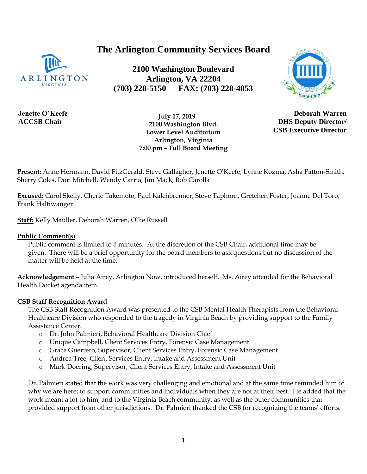#### 1

# **The Arlington Community Services Board**

**2100 Washington Boulevard Arlington, VA 22204 (703) 228-5150 FAX: (703) 228-4853**



**DHS Deputy Director/ CSB Executive Director**

**Jenette O'Keefe ACCSB Chair**

ARLINGTON

 **July 17, 2019 2100 Washington Blvd. Lower Level Auditorium Arlington, Virginia 7:00 pm – Full Board Meeting**

**Present:** Anne Hermann, David FitzGerald, Steve Gallagher, Jenette O'Keefe, Lynne Kozma, Asha Patton-Smith, Sherry Coles, Dori Mitchell, Wendy Carria, Jim Mack, Bob Carolla

**Excused:** Carol Skelly, Cherie Takemoto, Paul Kalchbrenner, Steve Taphorn, Gretchen Foster, Joanne Del Toro, Frank Haltiwanger

**Staff:** Kelly Mauller, Deborah Warren, Ollie Russell

#### **Public Comment(s)**

Public comment is limited to 5 minutes. At the discretion of the CSB Chair, additional time may be given. There will be a brief opportunity for the board members to ask questions [but](http://but.no/) no discussion of the matter will be held at the time.

**Acknowledgement** – Julia Airey, Arlington Now, introduced herself. Ms. Airey attended for the Behavioral Health Docket agenda item.

#### **CSB Staff Recognition Award**

The CSB Staff Recognition Award was presented to the CSB Mental Health Therapists from the Behavioral Healthcare Division who responded to the tragedy in Virginia Beach by providing support to the Family Assistance Center.

- o Dr. John Palmieri, Behavioral Healthcare Division Chief
- o Unique Campbell, Client Services Entry, Forensic Case Management
- o Grace Guerrero, Supervisor, Client Services Entry, Forensic Case Management
- o Andrea Tree, Client Services Entry, Intake and Assessment Unit
- o Mark Doering, Supervisor, Client Services Entry, Intake and Assessment Unit

Dr. Palmieri stated that the work was very challenging and emotional and at the same time reminded him of why we are here; to support communities and individuals when they are not at their best. He added that the work meant a lot to him, and to the Virginia Beach community, as well as the other communities that provided support from other jurisdictions. Dr. Palmieri thanked the CSB for recognizing the teams' efforts.

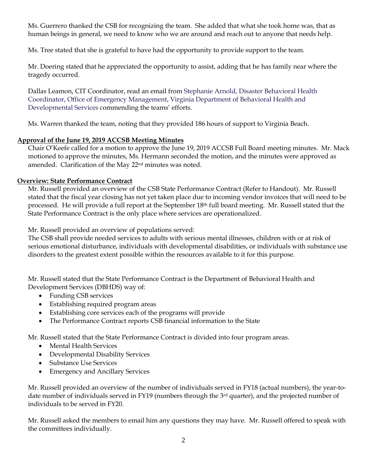Ms. Guerrero thanked the CSB for recognizing the team. She added that what she took home was, that as human beings in general, we need to know who we are around and reach out to anyone that needs help.

Ms. Tree stated that she is grateful to have had the opportunity to provide support to the team.

Mr. Doering stated that he appreciated the opportunity to assist, adding that he has family near where the tragedy occurred.

Dallas Leamon, CIT Coordinator, read an email from Stephanie Arnold, Disaster Behavioral Health Coordinator, Office of Emergency Management, Virginia Department of Behavioral Health and Developmental Services commending the teams' efforts.

Ms. Warren thanked the team, noting that they provided 186 hours of support to Virginia Beach.

# **Approval of the June 19, 2019 ACCSB Meeting Minutes**

Chair O'Keefe called for a motion to approve the June 19, 2019 ACCSB Full Board meeting minutes. Mr. Mack motioned to approve the minutes, Ms. Hermann seconded the motion, and the minutes were approved as amended. Clarification of the May 22<sup>nd</sup> minutes was noted.

# **Overview: State Performance Contract**

Mr. Russell provided an overview of the CSB State Performance Contract (Refer to Handout). Mr. Russell stated that the fiscal year closing has not yet taken place due to incoming vendor invoices that will need to be processed. He will provide a full report at the September 18th full board meeting. Mr. Russell stated that the State Performance Contract is the only place where services are operationalized.

Mr. Russell provided an overview of populations served:

The CSB shall provide needed services to adults with serious mental illnesses, children with or at risk of serious emotional disturbance, individuals with developmental disabilities, or individuals with substance use disorders to the greatest extent possible within the resources available to it for this purpose.

Mr. Russell stated that the State Performance Contract is the Department of Behavioral Health and Development Services (DBHDS) way of:

- Funding CSB services
- Establishing required program areas
- Establishing core services each of the programs will provide
- The Performance Contract reports CSB financial information to the State

Mr. Russell stated that the State Performance Contract is divided into four program areas.

- Mental Health Services
- Developmental Disability Services
- Substance Use Services
- Emergency and Ancillary Services

Mr. Russell provided an overview of the number of individuals served in FY18 (actual numbers), the year-todate number of individuals served in FY19 (numbers through the 3rd quarter), and the projected number of individuals to be served in FY20.

Mr. Russell asked the members to email him any questions they may have. Mr. Russell offered to speak with the committees individually.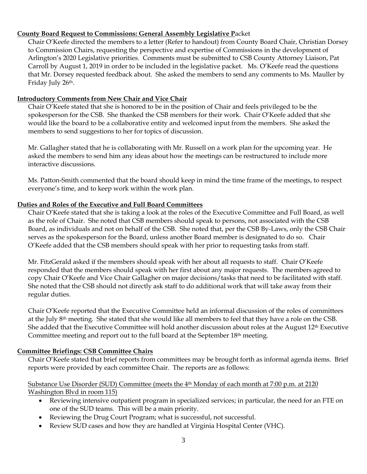## **County Board Request to Commissions: General Assembly Legislative P**acket

Chair O'Keefe directed the members to a letter (Refer to handout) from County Board Chair, Christian Dorsey to Commission Chairs, requesting the perspective and expertise of Commissions in the development of Arlington's 2020 Legislative priorities. Comments must be submitted to CSB County Attorney Liaison, Pat Carroll by August 1, 2019 in order to be included in the legislative packet. Ms. O'Keefe read the questions that Mr. Dorsey requested feedback about. She asked the members to send any comments to Ms. Mauller by Friday July 26th.

# **Introductory Comments from New Chair and Vice Chair**

Chair O'Keefe stated that she is honored to be in the position of Chair and feels privileged to be the spokesperson for the CSB. She thanked the CSB members for their work. Chair O'Keefe added that she would like the board to be a collaborative entity and welcomed input from the members. She asked the members to send suggestions to her for topics of discussion.

Mr. Gallagher stated that he is collaborating with Mr. Russell on a work plan for the upcoming year. He asked the members to send him any ideas about how the meetings can be restructured to include more interactive discussions.

Ms. Patton-Smith commented that the board should keep in mind the time frame of the meetings, to respect everyone's time, and to keep work within the work plan.

## **Duties and Roles of the Executive and Full Board Committees**

Chair O'Keefe stated that she is taking a look at the roles of the Executive Committee and Full Board, as well as the role of Chair. She noted that CSB members should speak to persons, not associated with the CSB Board, as individuals and not on behalf of the CSB. She noted that, per the CSB By-Laws, only the CSB Chair serves as the spokesperson for the Board, unless another Board member is designated to do so. Chair O'Keefe added that the CSB members should speak with her prior to requesting tasks from staff.

Mr. FitzGerald asked if the members should speak with her about all requests to staff. Chair O'Keefe responded that the members should speak with her first about any major requests. The members agreed to copy Chair O'Keefe and Vice Chair Gallagher on major decisions/tasks that need to be facilitated with staff. She noted that the CSB should not directly ask staff to do additional work that will take away from their regular duties.

Chair O'Keefe reported that the Executive Committee held an informal discussion of the roles of committees at the July 8th meeting. She stated that she would like all members to feel that they have a role on the CSB. She added that the Executive Committee will hold another discussion about roles at the August 12<sup>th</sup> Executive Committee meeting and report out to the full board at the September 18th meeting.

# **Committee Briefings: CSB Committee Chairs**

Chair O'Keefe stated that brief reports from committees may be brought forth as informal agenda items. Brief reports were provided by each committee Chair. The reports are as follows:

## Substance Use Disorder (SUD) Committee (meets the 4th Monday of each month at 7:00 p.m. at 2120 Washington Blvd in room 115)

- Reviewing intensive outpatient program in specialized services; in particular, the need for an FTE on one of the SUD teams. This will be a main priority.
- Reviewing the Drug Court Program; what is successful, not successful.
- Review SUD cases and how they are handled at Virginia Hospital Center (VHC).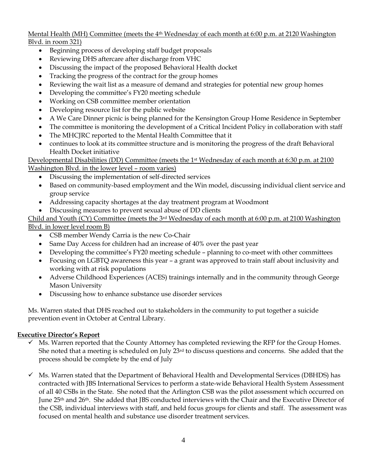## Mental Health (MH) Committee (meets the 4th Wednesday of each month at 6:00 p.m. at 2120 Washington Blvd. in room 321)

- Beginning process of developing staff budget proposals
- Reviewing DHS aftercare after discharge from VHC
- Discussing the impact of the proposed Behavioral Health docket
- Tracking the progress of the contract for the group homes
- Reviewing the wait list as a measure of demand and strategies for potential new group homes
- Developing the committee's FY20 meeting schedule
- Working on CSB committee member orientation
- Developing resource list for the public website
- A We Care Dinner picnic is being planned for the Kensington Group Home Residence in September
- The committee is monitoring the development of a Critical Incident Policy in collaboration with staff
- The MHCJRC reported to the Mental Health Committee that it
- continues to look at its committee structure and is monitoring the progress of the draft Behavioral Health Docket initiative

#### Developmental Disabilities (DD) Committee (meets the 1st Wednesday of each month at 6:30 p.m. at 2100 Washington Blvd. in the lower level – room varies)

- Discussing the implementation of self-directed services
- Based on community-based employment and the Win model, discussing individual client service and group service
- Addressing capacity shortages at the day treatment program at Woodmont
- Discussing measures to prevent sexual abuse of DD clients

# Child and Youth (CY) Committee (meets the 3rd Wednesday of each month at 6:00 p.m. at 2100 Washington Blvd. in lower level room B)

- CSB member Wendy Carria is the new Co-Chair
- Same Day Access for children had an increase of 40% over the past year
- Developing the committee's FY20 meeting schedule planning to co-meet with other committees
- Focusing on LGBTQ awareness this year a grant was approved to train staff about inclusivity and working with at risk populations
- Adverse Childhood Experiences (ACES) trainings internally and in the community through George Mason University
- Discussing how to enhance substance use disorder services

Ms. Warren stated that DHS reached out to stakeholders in the community to put together a suicide prevention event in October at Central Library.

# **Executive Director's Report**

- $\checkmark$  Ms. Warren reported that the County Attorney has completed reviewing the RFP for the Group Homes. She noted that a meeting is scheduled on July  $23<sup>rd</sup>$  to discuss questions and concerns. She added that the process should be complete by the end of July
- ✓ Ms. Warren stated that the Department of Behavioral Health and Developmental Services (DBHDS) has contracted with JBS International Services to perform a state-wide Behavioral Health System Assessment of all 40 CSBs in the State. She noted that the Arlington CSB was the pilot assessment which occurred on June 25th and 26th. She added that JBS conducted interviews with the Chair and the Executive Director of the CSB, individual interviews with staff, and held focus groups for clients and staff. The assessment was focused on mental health and substance use disorder treatment services.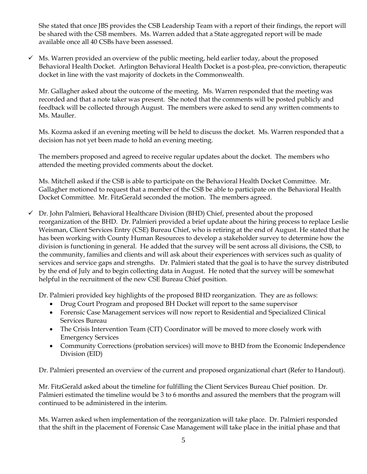She stated that once JBS provides the CSB Leadership Team with a report of their findings, the report will be shared with the CSB members. Ms. Warren added that a State aggregated report will be made available once all 40 CSBs have been assessed.

 $\checkmark$  Ms. Warren provided an overview of the public meeting, held earlier today, about the proposed Behavioral Health Docket. Arlington Behavioral Health Docket is a post-plea, pre-conviction, therapeutic docket in line with the vast majority of dockets in the Commonwealth.

Mr. Gallagher asked about the outcome of the meeting. Ms. Warren responded that the meeting was recorded and that a note taker was present. She noted that the comments will be posted publicly and feedback will be collected through August. The members were asked to send any written comments to Ms. Mauller.

Ms. Kozma asked if an evening meeting will be held to discuss the docket. Ms. Warren responded that a decision has not yet been made to hold an evening meeting.

The members proposed and agreed to receive regular updates about the docket. The members who attended the meeting provided comments about the docket.

Ms. Mitchell asked if the CSB is able to participate on the Behavioral Health Docket Committee. Mr. Gallagher motioned to request that a member of the CSB be able to participate on the Behavioral Health Docket Committee. Mr. FitzGerald seconded the motion. The members agreed.

 $\checkmark$  Dr. John Palmieri, Behavioral Healthcare Division (BHD) Chief, presented about the proposed reorganization of the BHD. Dr. Palmieri provided a brief update about the hiring process to replace Leslie Weisman, Client Services Entry (CSE) Bureau Chief, who is retiring at the end of August. He stated that he has been working with County Human Resources to develop a stakeholder survey to determine how the division is functioning in general. He added that the survey will be sent across all divisions, the CSB, to the community, families and clients and will ask about their experiences with services such as quality of services and service gaps and strengths. Dr. Palmieri stated that the goal is to have the survey distributed by the end of July and to begin collecting data in August. He noted that the survey will be somewhat helpful in the recruitment of the new CSE Bureau Chief position.

Dr. Palmieri provided key highlights of the proposed BHD reorganization. They are as follows:

- Drug Court Program and proposed BH Docket will report to the same supervisor
- Forensic Case Management services will now report to Residential and Specialized Clinical Services Bureau
- The Crisis Intervention Team (CIT) Coordinator will be moved to more closely work with Emergency Services
- Community Corrections (probation services) will move to BHD from the Economic Independence Division (EID)

Dr. Palmieri presented an overview of the current and proposed organizational chart (Refer to Handout).

Mr. FitzGerald asked about the timeline for fulfilling the Client Services Bureau Chief position. Dr. Palmieri estimated the timeline would be 3 to 6 months and assured the members that the program will continued to be administered in the interim.

Ms. Warren asked when implementation of the reorganization will take place. Dr. Palmieri responded that the shift in the placement of Forensic Case Management will take place in the initial phase and that